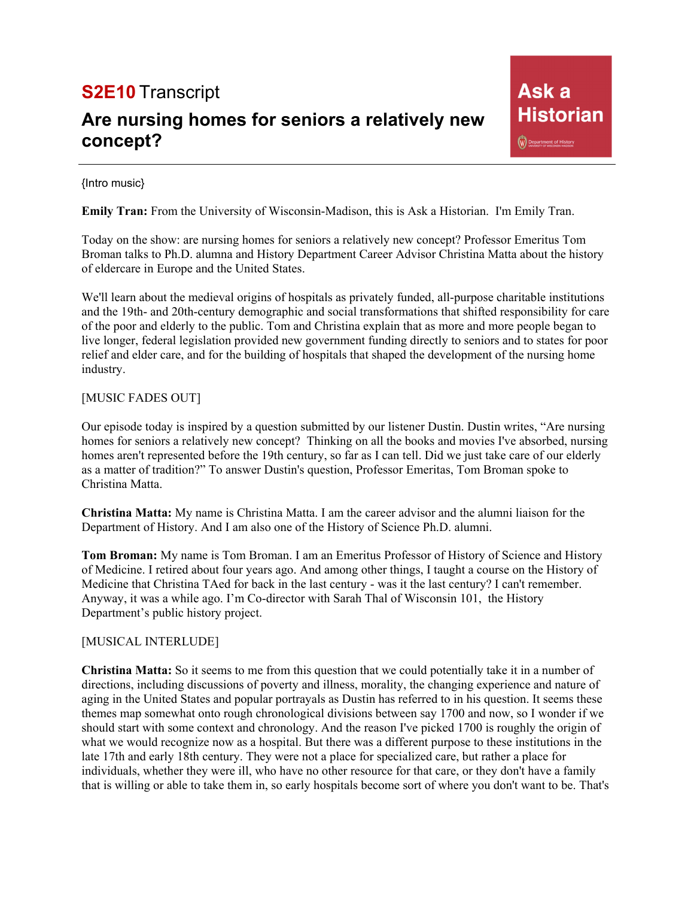# **S2E10** Transcript

# **Are nursing homes for seniors a relatively new concept?**

### {Intro music}

**Emily Tran:** From the University of Wisconsin-Madison, this is Ask a Historian. I'm Emily Tran.

Today on the show: are nursing homes for seniors a relatively new concept? Professor Emeritus Tom Broman talks to Ph.D. alumna and History Department Career Advisor Christina Matta about the history of eldercare in Europe and the United States.

We'll learn about the medieval origins of hospitals as privately funded, all-purpose charitable institutions and the 19th- and 20th-century demographic and social transformations that shifted responsibility for care of the poor and elderly to the public. Tom and Christina explain that as more and more people began to live longer, federal legislation provided new government funding directly to seniors and to states for poor relief and elder care, and for the building of hospitals that shaped the development of the nursing home industry.

## [MUSIC FADES OUT]

Our episode today is inspired by a question submitted by our listener Dustin. Dustin writes, "Are nursing homes for seniors a relatively new concept? Thinking on all the books and movies I've absorbed, nursing homes aren't represented before the 19th century, so far as I can tell. Did we just take care of our elderly as a matter of tradition?" To answer Dustin's question, Professor Emeritas, Tom Broman spoke to Christina Matta.

**Christina Matta:** My name is Christina Matta. I am the career advisor and the alumni liaison for the Department of History. And I am also one of the History of Science Ph.D. alumni.

**Tom Broman:** My name is Tom Broman. I am an Emeritus Professor of History of Science and History of Medicine. I retired about four years ago. And among other things, I taught a course on the History of Medicine that Christina TAed for back in the last century - was it the last century? I can't remember. Anyway, it was a while ago. I'm Co-director with Sarah Thal of Wisconsin 101, the History Department's public history project.

## [MUSICAL INTERLUDE]

**Christina Matta:** So it seems to me from this question that we could potentially take it in a number of directions, including discussions of poverty and illness, morality, the changing experience and nature of aging in the United States and popular portrayals as Dustin has referred to in his question. It seems these themes map somewhat onto rough chronological divisions between say 1700 and now, so I wonder if we should start with some context and chronology. And the reason I've picked 1700 is roughly the origin of what we would recognize now as a hospital. But there was a different purpose to these institutions in the late 17th and early 18th century. They were not a place for specialized care, but rather a place for individuals, whether they were ill, who have no other resource for that care, or they don't have a family that is willing or able to take them in, so early hospitals become sort of where you don't want to be. That's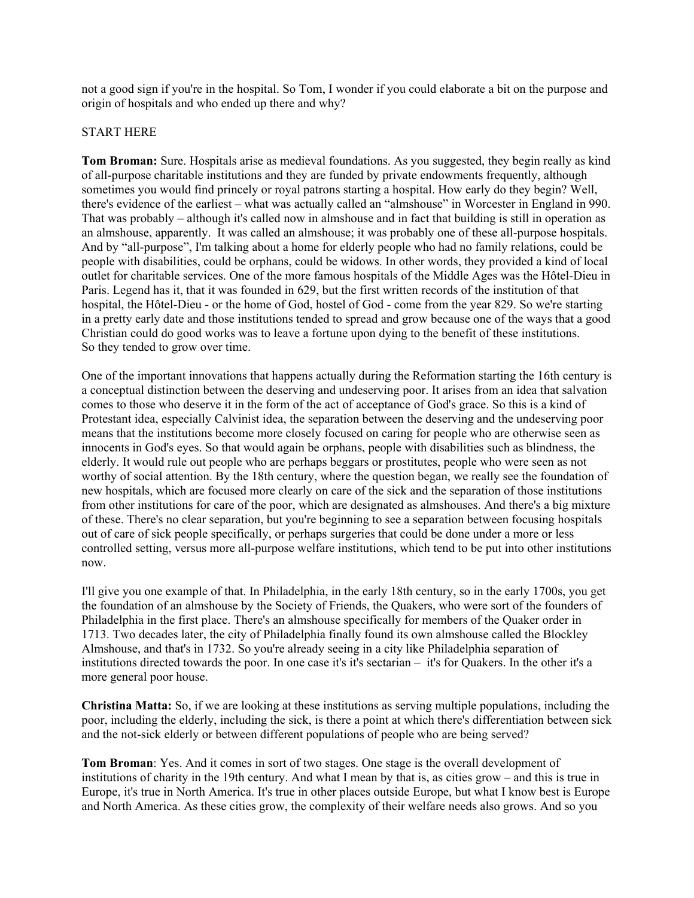not a good sign if you're in the hospital. So Tom, I wonder if you could elaborate a bit on the purpose and origin of hospitals and who ended up there and why?

### START HERE

**Tom Broman:** Sure. Hospitals arise as medieval foundations. As you suggested, they begin really as kind of all-purpose charitable institutions and they are funded by private endowments frequently, although sometimes you would find princely or royal patrons starting a hospital. How early do they begin? Well, there's evidence of the earliest – what was actually called an "almshouse" in Worcester in England in 990. That was probably – although it's called now in almshouse and in fact that building is still in operation as an almshouse, apparently. It was called an almshouse; it was probably one of these all-purpose hospitals. And by "all-purpose", I'm talking about a home for elderly people who had no family relations, could be people with disabilities, could be orphans, could be widows. In other words, they provided a kind of local outlet for charitable services. One of the more famous hospitals of the Middle Ages was the Hôtel-Dieu in Paris. Legend has it, that it was founded in 629, but the first written records of the institution of that hospital, the Hôtel-Dieu - or the home of God, hostel of God - come from the year 829. So we're starting in a pretty early date and those institutions tended to spread and grow because one of the ways that a good Christian could do good works was to leave a fortune upon dying to the benefit of these institutions. So they tended to grow over time.

One of the important innovations that happens actually during the Reformation starting the 16th century is a conceptual distinction between the deserving and undeserving poor. It arises from an idea that salvation comes to those who deserve it in the form of the act of acceptance of God's grace. So this is a kind of Protestant idea, especially Calvinist idea, the separation between the deserving and the undeserving poor means that the institutions become more closely focused on caring for people who are otherwise seen as innocents in God's eyes. So that would again be orphans, people with disabilities such as blindness, the elderly. It would rule out people who are perhaps beggars or prostitutes, people who were seen as not worthy of social attention. By the 18th century, where the question began, we really see the foundation of new hospitals, which are focused more clearly on care of the sick and the separation of those institutions from other institutions for care of the poor, which are designated as almshouses. And there's a big mixture of these. There's no clear separation, but you're beginning to see a separation between focusing hospitals out of care of sick people specifically, or perhaps surgeries that could be done under a more or less controlled setting, versus more all-purpose welfare institutions, which tend to be put into other institutions now.

I'll give you one example of that. In Philadelphia, in the early 18th century, so in the early 1700s, you get the foundation of an almshouse by the Society of Friends, the Quakers, who were sort of the founders of Philadelphia in the first place. There's an almshouse specifically for members of the Quaker order in 1713. Two decades later, the city of Philadelphia finally found its own almshouse called the Blockley Almshouse, and that's in 1732. So you're already seeing in a city like Philadelphia separation of institutions directed towards the poor. In one case it's it's sectarian – it's for Quakers. In the other it's a more general poor house.

**Christina Matta:** So, if we are looking at these institutions as serving multiple populations, including the poor, including the elderly, including the sick, is there a point at which there's differentiation between sick and the not-sick elderly or between different populations of people who are being served?

**Tom Broman**: Yes. And it comes in sort of two stages. One stage is the overall development of institutions of charity in the 19th century. And what I mean by that is, as cities grow – and this is true in Europe, it's true in North America. It's true in other places outside Europe, but what I know best is Europe and North America. As these cities grow, the complexity of their welfare needs also grows. And so you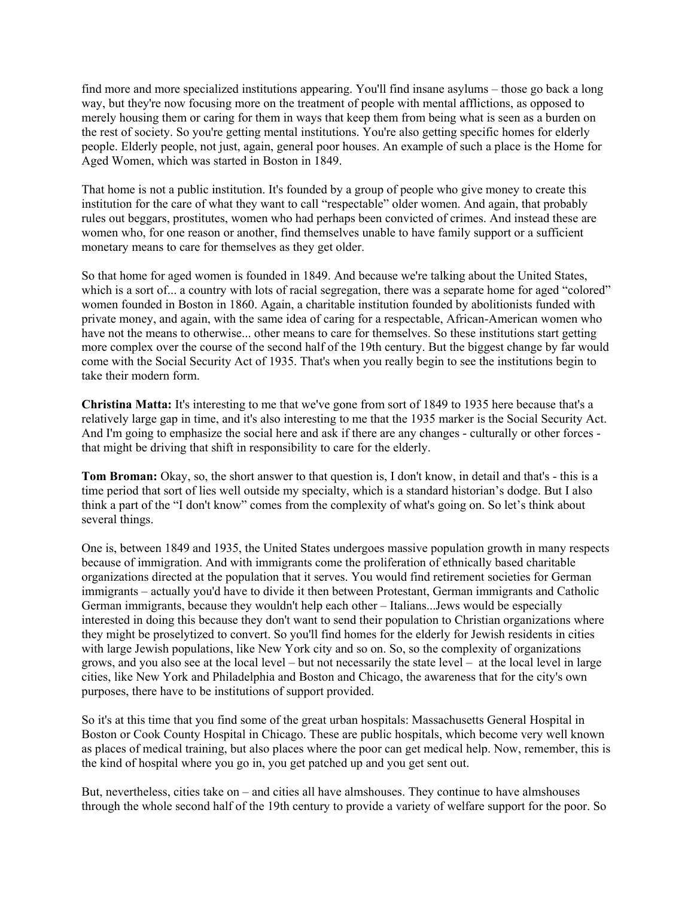find more and more specialized institutions appearing. You'll find insane asylums – those go back a long way, but they're now focusing more on the treatment of people with mental afflictions, as opposed to merely housing them or caring for them in ways that keep them from being what is seen as a burden on the rest of society. So you're getting mental institutions. You're also getting specific homes for elderly people. Elderly people, not just, again, general poor houses. An example of such a place is the Home for Aged Women, which was started in Boston in 1849.

That home is not a public institution. It's founded by a group of people who give money to create this institution for the care of what they want to call "respectable" older women. And again, that probably rules out beggars, prostitutes, women who had perhaps been convicted of crimes. And instead these are women who, for one reason or another, find themselves unable to have family support or a sufficient monetary means to care for themselves as they get older.

So that home for aged women is founded in 1849. And because we're talking about the United States, which is a sort of... a country with lots of racial segregation, there was a separate home for aged "colored" women founded in Boston in 1860. Again, a charitable institution founded by abolitionists funded with private money, and again, with the same idea of caring for a respectable, African-American women who have not the means to otherwise... other means to care for themselves. So these institutions start getting more complex over the course of the second half of the 19th century. But the biggest change by far would come with the Social Security Act of 1935. That's when you really begin to see the institutions begin to take their modern form.

**Christina Matta:** It's interesting to me that we've gone from sort of 1849 to 1935 here because that's a relatively large gap in time, and it's also interesting to me that the 1935 marker is the Social Security Act. And I'm going to emphasize the social here and ask if there are any changes - culturally or other forces that might be driving that shift in responsibility to care for the elderly.

**Tom Broman:** Okay, so, the short answer to that question is, I don't know, in detail and that's - this is a time period that sort of lies well outside my specialty, which is a standard historian's dodge. But I also think a part of the "I don't know" comes from the complexity of what's going on. So let's think about several things.

One is, between 1849 and 1935, the United States undergoes massive population growth in many respects because of immigration. And with immigrants come the proliferation of ethnically based charitable organizations directed at the population that it serves. You would find retirement societies for German immigrants – actually you'd have to divide it then between Protestant, German immigrants and Catholic German immigrants, because they wouldn't help each other – Italians...Jews would be especially interested in doing this because they don't want to send their population to Christian organizations where they might be proselytized to convert. So you'll find homes for the elderly for Jewish residents in cities with large Jewish populations, like New York city and so on. So, so the complexity of organizations grows, and you also see at the local level – but not necessarily the state level – at the local level in large cities, like New York and Philadelphia and Boston and Chicago, the awareness that for the city's own purposes, there have to be institutions of support provided.

So it's at this time that you find some of the great urban hospitals: Massachusetts General Hospital in Boston or Cook County Hospital in Chicago. These are public hospitals, which become very well known as places of medical training, but also places where the poor can get medical help. Now, remember, this is the kind of hospital where you go in, you get patched up and you get sent out.

But, nevertheless, cities take on – and cities all have almshouses. They continue to have almshouses through the whole second half of the 19th century to provide a variety of welfare support for the poor. So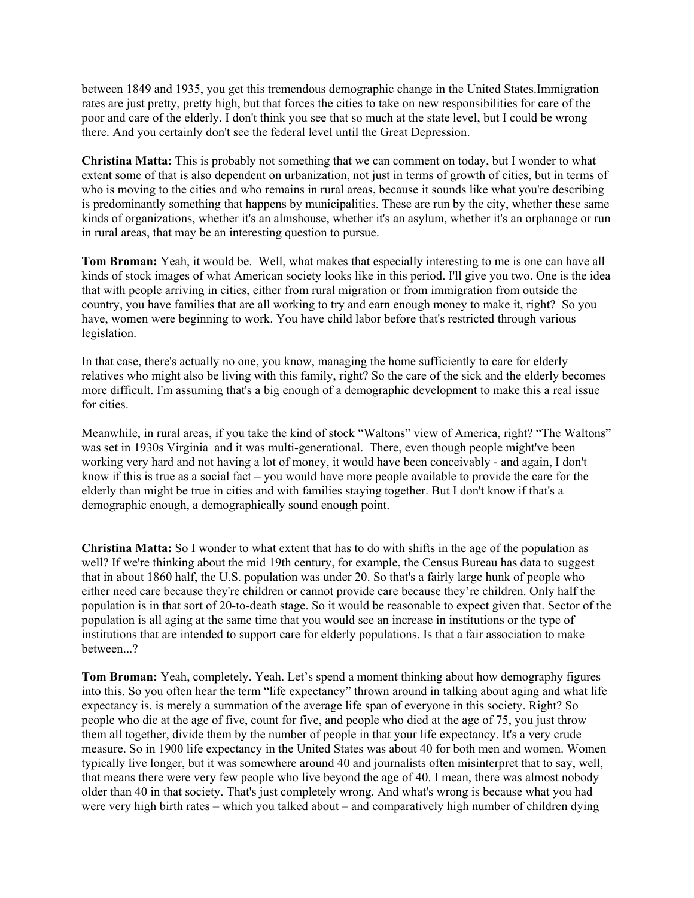between 1849 and 1935, you get this tremendous demographic change in the United States.Immigration rates are just pretty, pretty high, but that forces the cities to take on new responsibilities for care of the poor and care of the elderly. I don't think you see that so much at the state level, but I could be wrong there. And you certainly don't see the federal level until the Great Depression.

**Christina Matta:** This is probably not something that we can comment on today, but I wonder to what extent some of that is also dependent on urbanization, not just in terms of growth of cities, but in terms of who is moving to the cities and who remains in rural areas, because it sounds like what you're describing is predominantly something that happens by municipalities. These are run by the city, whether these same kinds of organizations, whether it's an almshouse, whether it's an asylum, whether it's an orphanage or run in rural areas, that may be an interesting question to pursue.

**Tom Broman:** Yeah, it would be. Well, what makes that especially interesting to me is one can have all kinds of stock images of what American society looks like in this period. I'll give you two. One is the idea that with people arriving in cities, either from rural migration or from immigration from outside the country, you have families that are all working to try and earn enough money to make it, right? So you have, women were beginning to work. You have child labor before that's restricted through various legislation.

In that case, there's actually no one, you know, managing the home sufficiently to care for elderly relatives who might also be living with this family, right? So the care of the sick and the elderly becomes more difficult. I'm assuming that's a big enough of a demographic development to make this a real issue for cities.

Meanwhile, in rural areas, if you take the kind of stock "Waltons" view of America, right? "The Waltons" was set in 1930s Virginia and it was multi-generational. There, even though people might've been working very hard and not having a lot of money, it would have been conceivably - and again, I don't know if this is true as a social fact – you would have more people available to provide the care for the elderly than might be true in cities and with families staying together. But I don't know if that's a demographic enough, a demographically sound enough point.

**Christina Matta:** So I wonder to what extent that has to do with shifts in the age of the population as well? If we're thinking about the mid 19th century, for example, the Census Bureau has data to suggest that in about 1860 half, the U.S. population was under 20. So that's a fairly large hunk of people who either need care because they're children or cannot provide care because they're children. Only half the population is in that sort of 20-to-death stage. So it would be reasonable to expect given that. Sector of the population is all aging at the same time that you would see an increase in institutions or the type of institutions that are intended to support care for elderly populations. Is that a fair association to make between...?

**Tom Broman:** Yeah, completely. Yeah. Let's spend a moment thinking about how demography figures into this. So you often hear the term "life expectancy" thrown around in talking about aging and what life expectancy is, is merely a summation of the average life span of everyone in this society. Right? So people who die at the age of five, count for five, and people who died at the age of 75, you just throw them all together, divide them by the number of people in that your life expectancy. It's a very crude measure. So in 1900 life expectancy in the United States was about 40 for both men and women. Women typically live longer, but it was somewhere around 40 and journalists often misinterpret that to say, well, that means there were very few people who live beyond the age of 40. I mean, there was almost nobody older than 40 in that society. That's just completely wrong. And what's wrong is because what you had were very high birth rates – which you talked about – and comparatively high number of children dying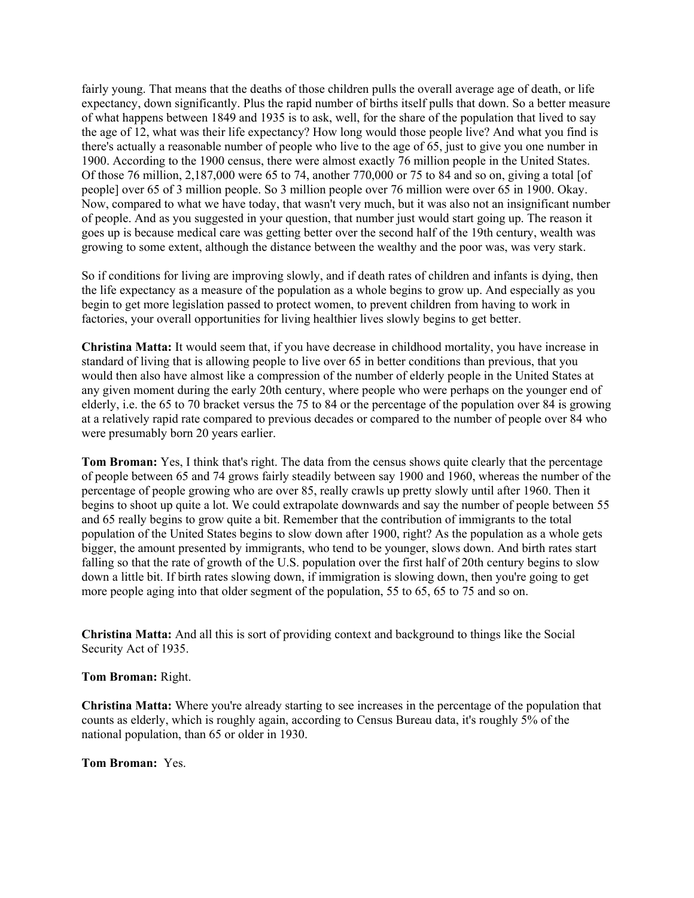fairly young. That means that the deaths of those children pulls the overall average age of death, or life expectancy, down significantly. Plus the rapid number of births itself pulls that down. So a better measure of what happens between 1849 and 1935 is to ask, well, for the share of the population that lived to say the age of 12, what was their life expectancy? How long would those people live? And what you find is there's actually a reasonable number of people who live to the age of 65, just to give you one number in 1900. According to the 1900 census, there were almost exactly 76 million people in the United States. Of those 76 million, 2,187,000 were 65 to 74, another 770,000 or 75 to 84 and so on, giving a total [of people] over 65 of 3 million people. So 3 million people over 76 million were over 65 in 1900. Okay. Now, compared to what we have today, that wasn't very much, but it was also not an insignificant number of people. And as you suggested in your question, that number just would start going up. The reason it goes up is because medical care was getting better over the second half of the 19th century, wealth was growing to some extent, although the distance between the wealthy and the poor was, was very stark.

So if conditions for living are improving slowly, and if death rates of children and infants is dying, then the life expectancy as a measure of the population as a whole begins to grow up. And especially as you begin to get more legislation passed to protect women, to prevent children from having to work in factories, your overall opportunities for living healthier lives slowly begins to get better.

**Christina Matta:** It would seem that, if you have decrease in childhood mortality, you have increase in standard of living that is allowing people to live over 65 in better conditions than previous, that you would then also have almost like a compression of the number of elderly people in the United States at any given moment during the early 20th century, where people who were perhaps on the younger end of elderly, i.e. the 65 to 70 bracket versus the 75 to 84 or the percentage of the population over 84 is growing at a relatively rapid rate compared to previous decades or compared to the number of people over 84 who were presumably born 20 years earlier.

**Tom Broman:** Yes, I think that's right. The data from the census shows quite clearly that the percentage of people between 65 and 74 grows fairly steadily between say 1900 and 1960, whereas the number of the percentage of people growing who are over 85, really crawls up pretty slowly until after 1960. Then it begins to shoot up quite a lot. We could extrapolate downwards and say the number of people between 55 and 65 really begins to grow quite a bit. Remember that the contribution of immigrants to the total population of the United States begins to slow down after 1900, right? As the population as a whole gets bigger, the amount presented by immigrants, who tend to be younger, slows down. And birth rates start falling so that the rate of growth of the U.S. population over the first half of 20th century begins to slow down a little bit. If birth rates slowing down, if immigration is slowing down, then you're going to get more people aging into that older segment of the population, 55 to 65, 65 to 75 and so on.

**Christina Matta:** And all this is sort of providing context and background to things like the Social Security Act of 1935.

**Tom Broman:** Right.

**Christina Matta:** Where you're already starting to see increases in the percentage of the population that counts as elderly, which is roughly again, according to Census Bureau data, it's roughly 5% of the national population, than 65 or older in 1930.

**Tom Broman:** Yes.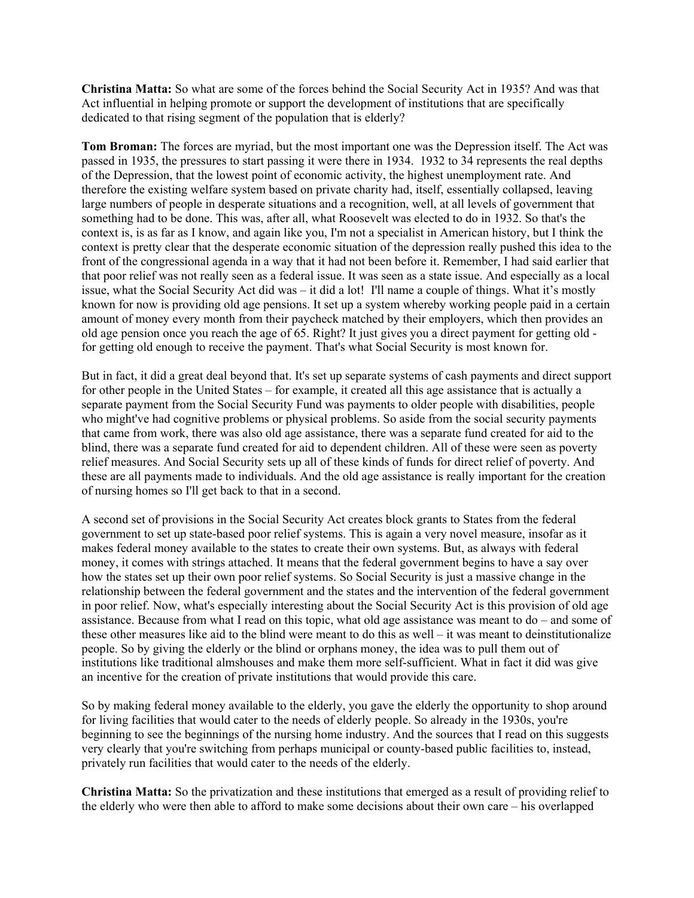**Christina Matta:** So what are some of the forces behind the Social Security Act in 1935? And was that Act influential in helping promote or support the development of institutions that are specifically dedicated to that rising segment of the population that is elderly?

**Tom Broman:** The forces are myriad, but the most important one was the Depression itself. The Act was passed in 1935, the pressures to start passing it were there in 1934. 1932 to 34 represents the real depths of the Depression, that the lowest point of economic activity, the highest unemployment rate. And therefore the existing welfare system based on private charity had, itself, essentially collapsed, leaving large numbers of people in desperate situations and a recognition, well, at all levels of government that something had to be done. This was, after all, what Roosevelt was elected to do in 1932. So that's the context is, is as far as I know, and again like you, I'm not a specialist in American history, but I think the context is pretty clear that the desperate economic situation of the depression really pushed this idea to the front of the congressional agenda in a way that it had not been before it. Remember, I had said earlier that that poor relief was not really seen as a federal issue. It was seen as a state issue. And especially as a local issue, what the Social Security Act did was – it did a lot! I'll name a couple of things. What it's mostly known for now is providing old age pensions. It set up a system whereby working people paid in a certain amount of money every month from their paycheck matched by their employers, which then provides an old age pension once you reach the age of 65. Right? It just gives you a direct payment for getting old for getting old enough to receive the payment. That's what Social Security is most known for.

But in fact, it did a great deal beyond that. It's set up separate systems of cash payments and direct support for other people in the United States – for example, it created all this age assistance that is actually a separate payment from the Social Security Fund was payments to older people with disabilities, people who might've had cognitive problems or physical problems. So aside from the social security payments that came from work, there was also old age assistance, there was a separate fund created for aid to the blind, there was a separate fund created for aid to dependent children. All of these were seen as poverty relief measures. And Social Security sets up all of these kinds of funds for direct relief of poverty. And these are all payments made to individuals. And the old age assistance is really important for the creation of nursing homes so I'll get back to that in a second.

A second set of provisions in the Social Security Act creates block grants to States from the federal government to set up state-based poor relief systems. This is again a very novel measure, insofar as it makes federal money available to the states to create their own systems. But, as always with federal money, it comes with strings attached. It means that the federal government begins to have a say over how the states set up their own poor relief systems. So Social Security is just a massive change in the relationship between the federal government and the states and the intervention of the federal government in poor relief. Now, what's especially interesting about the Social Security Act is this provision of old age assistance. Because from what I read on this topic, what old age assistance was meant to do – and some of these other measures like aid to the blind were meant to do this as well – it was meant to deinstitutionalize people. So by giving the elderly or the blind or orphans money, the idea was to pull them out of institutions like traditional almshouses and make them more self-sufficient. What in fact it did was give an incentive for the creation of private institutions that would provide this care.

So by making federal money available to the elderly, you gave the elderly the opportunity to shop around for living facilities that would cater to the needs of elderly people. So already in the 1930s, you're beginning to see the beginnings of the nursing home industry. And the sources that I read on this suggests very clearly that you're switching from perhaps municipal or county-based public facilities to, instead, privately run facilities that would cater to the needs of the elderly.

**Christina Matta:** So the privatization and these institutions that emerged as a result of providing relief to the elderly who were then able to afford to make some decisions about their own care – his overlapped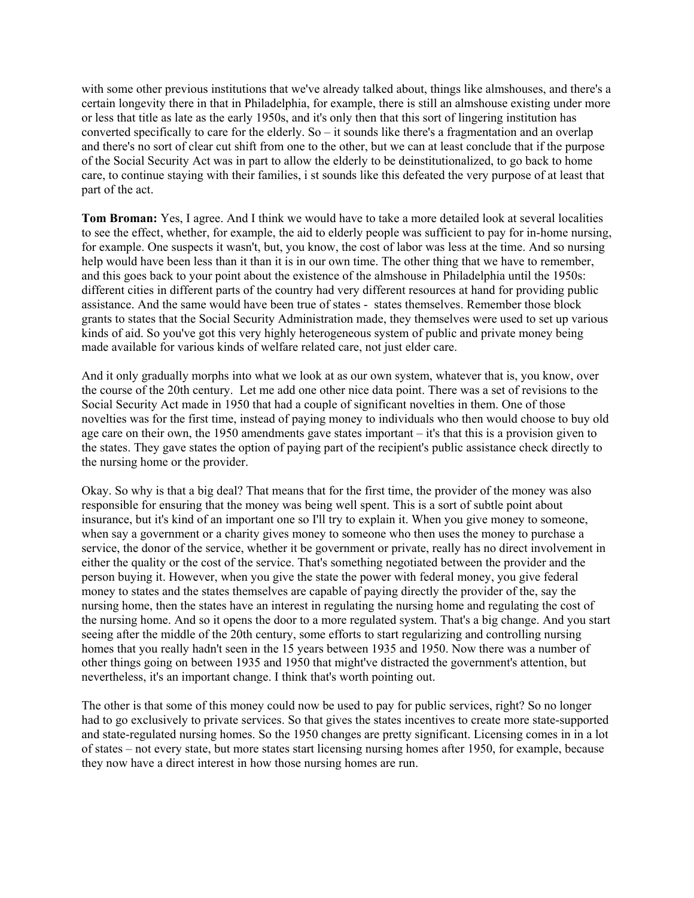with some other previous institutions that we've already talked about, things like almshouses, and there's a certain longevity there in that in Philadelphia, for example, there is still an almshouse existing under more or less that title as late as the early 1950s, and it's only then that this sort of lingering institution has converted specifically to care for the elderly. So – it sounds like there's a fragmentation and an overlap and there's no sort of clear cut shift from one to the other, but we can at least conclude that if the purpose of the Social Security Act was in part to allow the elderly to be deinstitutionalized, to go back to home care, to continue staying with their families, i st sounds like this defeated the very purpose of at least that part of the act.

**Tom Broman:** Yes, I agree. And I think we would have to take a more detailed look at several localities to see the effect, whether, for example, the aid to elderly people was sufficient to pay for in-home nursing, for example. One suspects it wasn't, but, you know, the cost of labor was less at the time. And so nursing help would have been less than it than it is in our own time. The other thing that we have to remember, and this goes back to your point about the existence of the almshouse in Philadelphia until the 1950s: different cities in different parts of the country had very different resources at hand for providing public assistance. And the same would have been true of states - states themselves. Remember those block grants to states that the Social Security Administration made, they themselves were used to set up various kinds of aid. So you've got this very highly heterogeneous system of public and private money being made available for various kinds of welfare related care, not just elder care.

And it only gradually morphs into what we look at as our own system, whatever that is, you know, over the course of the 20th century. Let me add one other nice data point. There was a set of revisions to the Social Security Act made in 1950 that had a couple of significant novelties in them. One of those novelties was for the first time, instead of paying money to individuals who then would choose to buy old age care on their own, the 1950 amendments gave states important – it's that this is a provision given to the states. They gave states the option of paying part of the recipient's public assistance check directly to the nursing home or the provider.

Okay. So why is that a big deal? That means that for the first time, the provider of the money was also responsible for ensuring that the money was being well spent. This is a sort of subtle point about insurance, but it's kind of an important one so I'll try to explain it. When you give money to someone, when say a government or a charity gives money to someone who then uses the money to purchase a service, the donor of the service, whether it be government or private, really has no direct involvement in either the quality or the cost of the service. That's something negotiated between the provider and the person buying it. However, when you give the state the power with federal money, you give federal money to states and the states themselves are capable of paying directly the provider of the, say the nursing home, then the states have an interest in regulating the nursing home and regulating the cost of the nursing home. And so it opens the door to a more regulated system. That's a big change. And you start seeing after the middle of the 20th century, some efforts to start regularizing and controlling nursing homes that you really hadn't seen in the 15 years between 1935 and 1950. Now there was a number of other things going on between 1935 and 1950 that might've distracted the government's attention, but nevertheless, it's an important change. I think that's worth pointing out.

The other is that some of this money could now be used to pay for public services, right? So no longer had to go exclusively to private services. So that gives the states incentives to create more state-supported and state-regulated nursing homes. So the 1950 changes are pretty significant. Licensing comes in in a lot of states – not every state, but more states start licensing nursing homes after 1950, for example, because they now have a direct interest in how those nursing homes are run.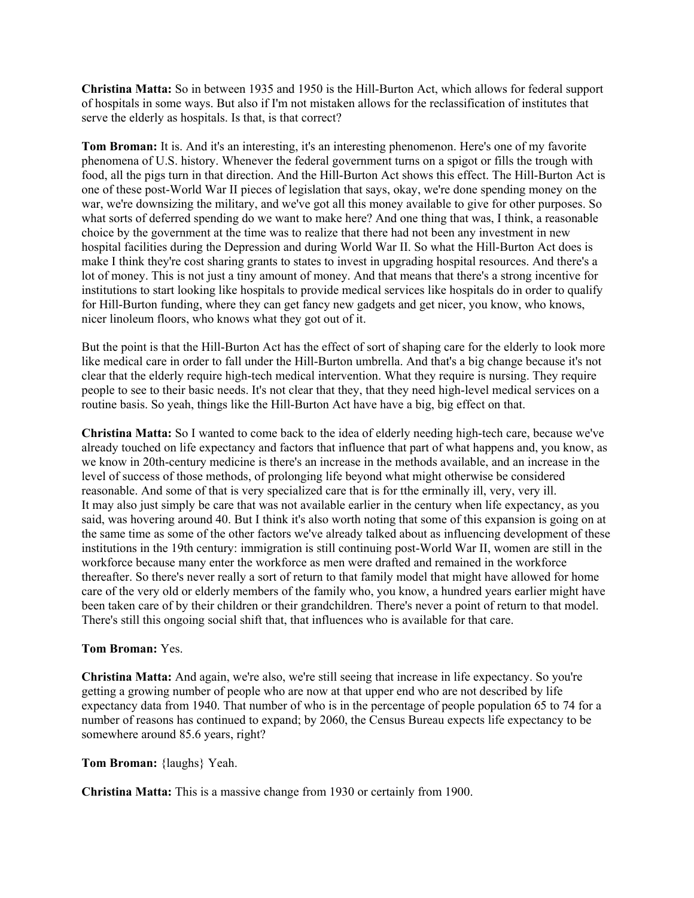**Christina Matta:** So in between 1935 and 1950 is the Hill-Burton Act, which allows for federal support of hospitals in some ways. But also if I'm not mistaken allows for the reclassification of institutes that serve the elderly as hospitals. Is that, is that correct?

**Tom Broman:** It is. And it's an interesting, it's an interesting phenomenon. Here's one of my favorite phenomena of U.S. history. Whenever the federal government turns on a spigot or fills the trough with food, all the pigs turn in that direction. And the Hill-Burton Act shows this effect. The Hill-Burton Act is one of these post-World War II pieces of legislation that says, okay, we're done spending money on the war, we're downsizing the military, and we've got all this money available to give for other purposes. So what sorts of deferred spending do we want to make here? And one thing that was, I think, a reasonable choice by the government at the time was to realize that there had not been any investment in new hospital facilities during the Depression and during World War II. So what the Hill-Burton Act does is make I think they're cost sharing grants to states to invest in upgrading hospital resources. And there's a lot of money. This is not just a tiny amount of money. And that means that there's a strong incentive for institutions to start looking like hospitals to provide medical services like hospitals do in order to qualify for Hill-Burton funding, where they can get fancy new gadgets and get nicer, you know, who knows, nicer linoleum floors, who knows what they got out of it.

But the point is that the Hill-Burton Act has the effect of sort of shaping care for the elderly to look more like medical care in order to fall under the Hill-Burton umbrella. And that's a big change because it's not clear that the elderly require high-tech medical intervention. What they require is nursing. They require people to see to their basic needs. It's not clear that they, that they need high-level medical services on a routine basis. So yeah, things like the Hill-Burton Act have have a big, big effect on that.

**Christina Matta:** So I wanted to come back to the idea of elderly needing high-tech care, because we've already touched on life expectancy and factors that influence that part of what happens and, you know, as we know in 20th-century medicine is there's an increase in the methods available, and an increase in the level of success of those methods, of prolonging life beyond what might otherwise be considered reasonable. And some of that is very specialized care that is for tthe erminally ill, very, very ill. It may also just simply be care that was not available earlier in the century when life expectancy, as you said, was hovering around 40. But I think it's also worth noting that some of this expansion is going on at the same time as some of the other factors we've already talked about as influencing development of these institutions in the 19th century: immigration is still continuing post-World War II, women are still in the workforce because many enter the workforce as men were drafted and remained in the workforce thereafter. So there's never really a sort of return to that family model that might have allowed for home care of the very old or elderly members of the family who, you know, a hundred years earlier might have been taken care of by their children or their grandchildren. There's never a point of return to that model. There's still this ongoing social shift that, that influences who is available for that care.

#### **Tom Broman:** Yes.

**Christina Matta:** And again, we're also, we're still seeing that increase in life expectancy. So you're getting a growing number of people who are now at that upper end who are not described by life expectancy data from 1940. That number of who is in the percentage of people population 65 to 74 for a number of reasons has continued to expand; by 2060, the Census Bureau expects life expectancy to be somewhere around 85.6 years, right?

**Tom Broman:** {laughs} Yeah.

**Christina Matta:** This is a massive change from 1930 or certainly from 1900.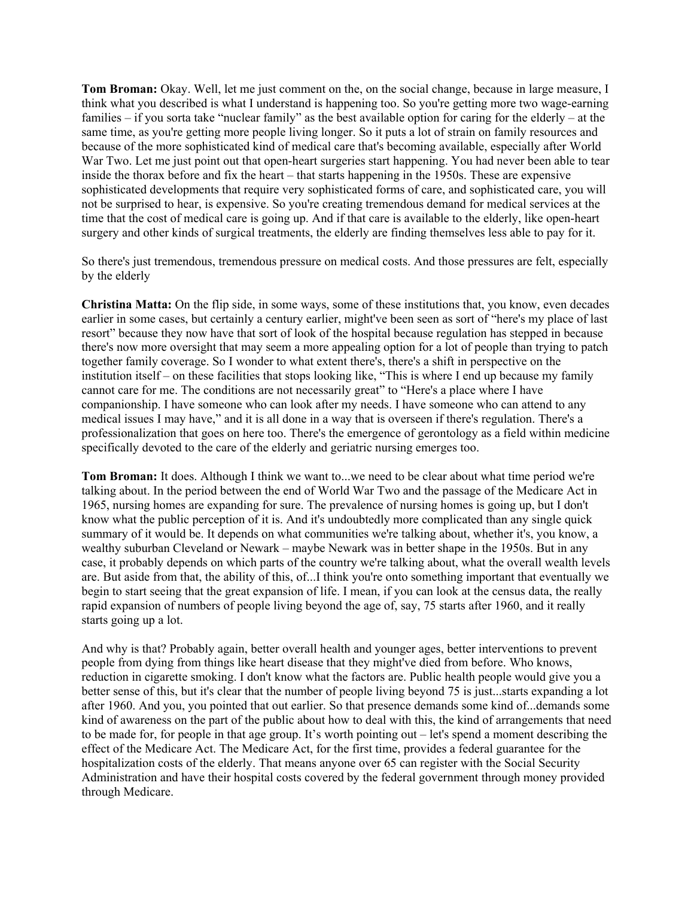**Tom Broman:** Okay. Well, let me just comment on the, on the social change, because in large measure, I think what you described is what I understand is happening too. So you're getting more two wage-earning families – if you sorta take "nuclear family" as the best available option for caring for the elderly – at the same time, as you're getting more people living longer. So it puts a lot of strain on family resources and because of the more sophisticated kind of medical care that's becoming available, especially after World War Two. Let me just point out that open-heart surgeries start happening. You had never been able to tear inside the thorax before and fix the heart – that starts happening in the 1950s. These are expensive sophisticated developments that require very sophisticated forms of care, and sophisticated care, you will not be surprised to hear, is expensive. So you're creating tremendous demand for medical services at the time that the cost of medical care is going up. And if that care is available to the elderly, like open-heart surgery and other kinds of surgical treatments, the elderly are finding themselves less able to pay for it.

So there's just tremendous, tremendous pressure on medical costs. And those pressures are felt, especially by the elderly

**Christina Matta:** On the flip side, in some ways, some of these institutions that, you know, even decades earlier in some cases, but certainly a century earlier, might've been seen as sort of "here's my place of last resort" because they now have that sort of look of the hospital because regulation has stepped in because there's now more oversight that may seem a more appealing option for a lot of people than trying to patch together family coverage. So I wonder to what extent there's, there's a shift in perspective on the institution itself – on these facilities that stops looking like, "This is where I end up because my family cannot care for me. The conditions are not necessarily great" to "Here's a place where I have companionship. I have someone who can look after my needs. I have someone who can attend to any medical issues I may have," and it is all done in a way that is overseen if there's regulation. There's a professionalization that goes on here too. There's the emergence of gerontology as a field within medicine specifically devoted to the care of the elderly and geriatric nursing emerges too.

**Tom Broman:** It does. Although I think we want to...we need to be clear about what time period we're talking about. In the period between the end of World War Two and the passage of the Medicare Act in 1965, nursing homes are expanding for sure. The prevalence of nursing homes is going up, but I don't know what the public perception of it is. And it's undoubtedly more complicated than any single quick summary of it would be. It depends on what communities we're talking about, whether it's, you know, a wealthy suburban Cleveland or Newark – maybe Newark was in better shape in the 1950s. But in any case, it probably depends on which parts of the country we're talking about, what the overall wealth levels are. But aside from that, the ability of this, of...I think you're onto something important that eventually we begin to start seeing that the great expansion of life. I mean, if you can look at the census data, the really rapid expansion of numbers of people living beyond the age of, say, 75 starts after 1960, and it really starts going up a lot.

And why is that? Probably again, better overall health and younger ages, better interventions to prevent people from dying from things like heart disease that they might've died from before. Who knows, reduction in cigarette smoking. I don't know what the factors are. Public health people would give you a better sense of this, but it's clear that the number of people living beyond 75 is just...starts expanding a lot after 1960. And you, you pointed that out earlier. So that presence demands some kind of...demands some kind of awareness on the part of the public about how to deal with this, the kind of arrangements that need to be made for, for people in that age group. It's worth pointing out – let's spend a moment describing the effect of the Medicare Act. The Medicare Act, for the first time, provides a federal guarantee for the hospitalization costs of the elderly. That means anyone over 65 can register with the Social Security Administration and have their hospital costs covered by the federal government through money provided through Medicare.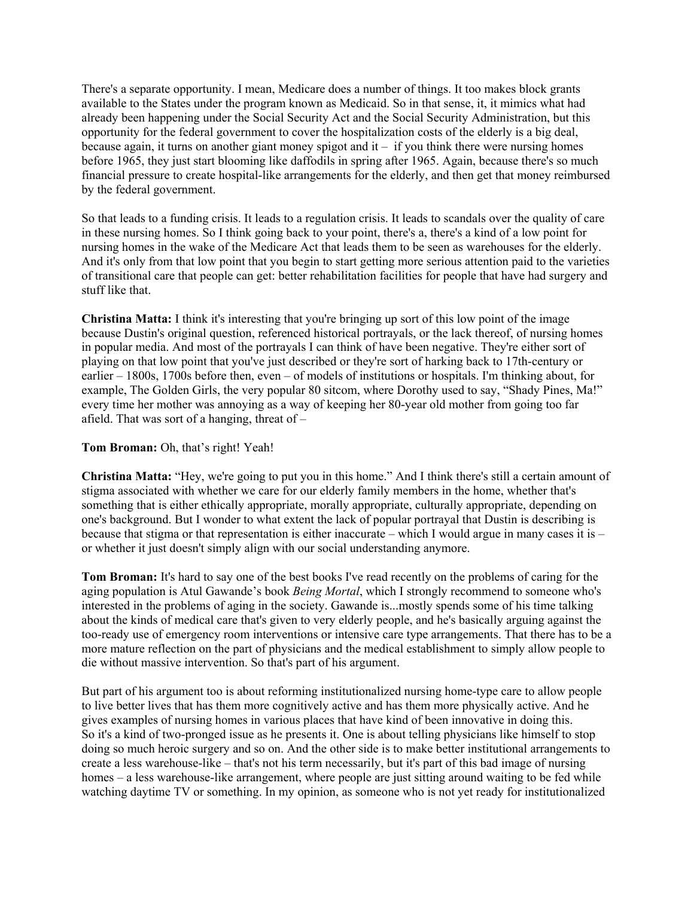There's a separate opportunity. I mean, Medicare does a number of things. It too makes block grants available to the States under the program known as Medicaid. So in that sense, it, it mimics what had already been happening under the Social Security Act and the Social Security Administration, but this opportunity for the federal government to cover the hospitalization costs of the elderly is a big deal, because again, it turns on another giant money spigot and it – if you think there were nursing homes before 1965, they just start blooming like daffodils in spring after 1965. Again, because there's so much financial pressure to create hospital-like arrangements for the elderly, and then get that money reimbursed by the federal government.

So that leads to a funding crisis. It leads to a regulation crisis. It leads to scandals over the quality of care in these nursing homes. So I think going back to your point, there's a, there's a kind of a low point for nursing homes in the wake of the Medicare Act that leads them to be seen as warehouses for the elderly. And it's only from that low point that you begin to start getting more serious attention paid to the varieties of transitional care that people can get: better rehabilitation facilities for people that have had surgery and stuff like that.

**Christina Matta:** I think it's interesting that you're bringing up sort of this low point of the image because Dustin's original question, referenced historical portrayals, or the lack thereof, of nursing homes in popular media. And most of the portrayals I can think of have been negative. They're either sort of playing on that low point that you've just described or they're sort of harking back to 17th-century or earlier – 1800s, 1700s before then, even – of models of institutions or hospitals. I'm thinking about, for example, The Golden Girls, the very popular 80 sitcom, where Dorothy used to say, "Shady Pines, Ma!" every time her mother was annoying as a way of keeping her 80-year old mother from going too far afield. That was sort of a hanging, threat of –

#### **Tom Broman:** Oh, that's right! Yeah!

**Christina Matta:** "Hey, we're going to put you in this home." And I think there's still a certain amount of stigma associated with whether we care for our elderly family members in the home, whether that's something that is either ethically appropriate, morally appropriate, culturally appropriate, depending on one's background. But I wonder to what extent the lack of popular portrayal that Dustin is describing is because that stigma or that representation is either inaccurate – which I would argue in many cases it is – or whether it just doesn't simply align with our social understanding anymore.

**Tom Broman:** It's hard to say one of the best books I've read recently on the problems of caring for the aging population is Atul Gawande's book *Being Mortal*, which I strongly recommend to someone who's interested in the problems of aging in the society. Gawande is...mostly spends some of his time talking about the kinds of medical care that's given to very elderly people, and he's basically arguing against the too-ready use of emergency room interventions or intensive care type arrangements. That there has to be a more mature reflection on the part of physicians and the medical establishment to simply allow people to die without massive intervention. So that's part of his argument.

But part of his argument too is about reforming institutionalized nursing home-type care to allow people to live better lives that has them more cognitively active and has them more physically active. And he gives examples of nursing homes in various places that have kind of been innovative in doing this. So it's a kind of two-pronged issue as he presents it. One is about telling physicians like himself to stop doing so much heroic surgery and so on. And the other side is to make better institutional arrangements to create a less warehouse-like – that's not his term necessarily, but it's part of this bad image of nursing homes – a less warehouse-like arrangement, where people are just sitting around waiting to be fed while watching daytime TV or something. In my opinion, as someone who is not yet ready for institutionalized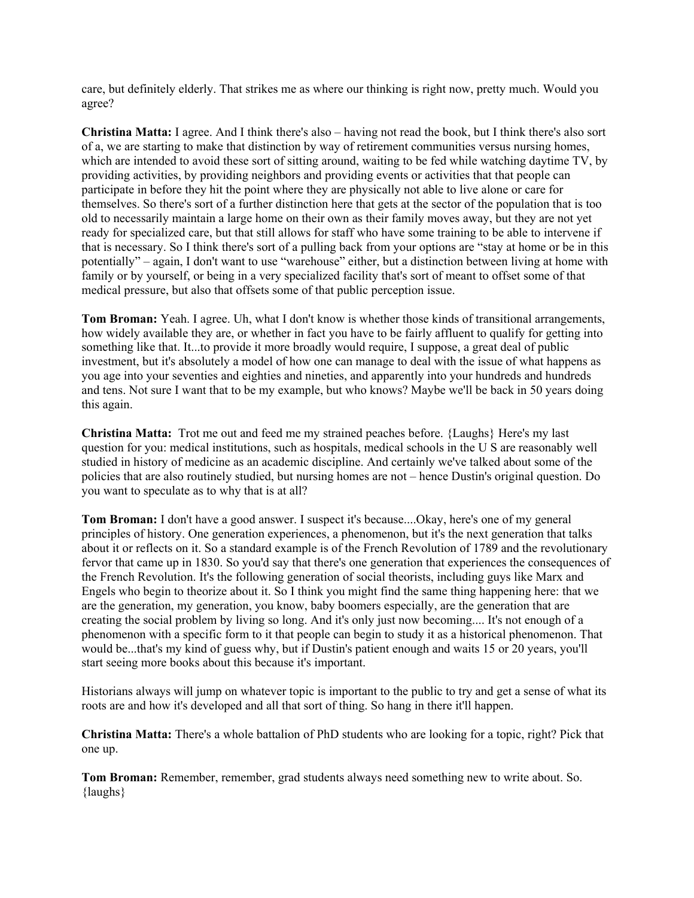care, but definitely elderly. That strikes me as where our thinking is right now, pretty much. Would you agree?

**Christina Matta:** I agree. And I think there's also – having not read the book, but I think there's also sort of a, we are starting to make that distinction by way of retirement communities versus nursing homes, which are intended to avoid these sort of sitting around, waiting to be fed while watching daytime TV, by providing activities, by providing neighbors and providing events or activities that that people can participate in before they hit the point where they are physically not able to live alone or care for themselves. So there's sort of a further distinction here that gets at the sector of the population that is too old to necessarily maintain a large home on their own as their family moves away, but they are not yet ready for specialized care, but that still allows for staff who have some training to be able to intervene if that is necessary. So I think there's sort of a pulling back from your options are "stay at home or be in this potentially" – again, I don't want to use "warehouse" either, but a distinction between living at home with family or by yourself, or being in a very specialized facility that's sort of meant to offset some of that medical pressure, but also that offsets some of that public perception issue.

**Tom Broman:** Yeah. I agree. Uh, what I don't know is whether those kinds of transitional arrangements, how widely available they are, or whether in fact you have to be fairly affluent to qualify for getting into something like that. It...to provide it more broadly would require, I suppose, a great deal of public investment, but it's absolutely a model of how one can manage to deal with the issue of what happens as you age into your seventies and eighties and nineties, and apparently into your hundreds and hundreds and tens. Not sure I want that to be my example, but who knows? Maybe we'll be back in 50 years doing this again.

**Christina Matta:** Trot me out and feed me my strained peaches before. {Laughs} Here's my last question for you: medical institutions, such as hospitals, medical schools in the U S are reasonably well studied in history of medicine as an academic discipline. And certainly we've talked about some of the policies that are also routinely studied, but nursing homes are not – hence Dustin's original question. Do you want to speculate as to why that is at all?

**Tom Broman:** I don't have a good answer. I suspect it's because....Okay, here's one of my general principles of history. One generation experiences, a phenomenon, but it's the next generation that talks about it or reflects on it. So a standard example is of the French Revolution of 1789 and the revolutionary fervor that came up in 1830. So you'd say that there's one generation that experiences the consequences of the French Revolution. It's the following generation of social theorists, including guys like Marx and Engels who begin to theorize about it. So I think you might find the same thing happening here: that we are the generation, my generation, you know, baby boomers especially, are the generation that are creating the social problem by living so long. And it's only just now becoming.... It's not enough of a phenomenon with a specific form to it that people can begin to study it as a historical phenomenon. That would be...that's my kind of guess why, but if Dustin's patient enough and waits 15 or 20 years, you'll start seeing more books about this because it's important.

Historians always will jump on whatever topic is important to the public to try and get a sense of what its roots are and how it's developed and all that sort of thing. So hang in there it'll happen.

**Christina Matta:** There's a whole battalion of PhD students who are looking for a topic, right? Pick that one up.

**Tom Broman:** Remember, remember, grad students always need something new to write about. So. {laughs}